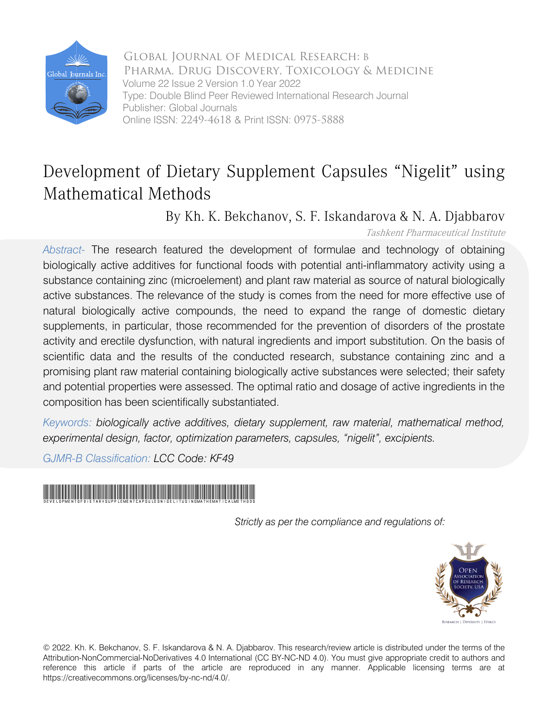

Global Journal of Medical Research: B Pharma, Drug Discovery, Toxicology & Medicine Volume 22 Issue 2 Version 1.0 Year 2022 Type: Double Blind Peer Reviewed International Research Journal Publisher: Global Journals Online ISSN: 2249-4618 & Print ISSN: 0975-5888

## Development of Dietary Supplement Capsules "Nigelit" using Mathematical Methods

By Kh. K. Bekchanov, S. F. Iskandarova & N. A. Djabbarov

Tashkent Pharmaceutical Institute

*Abstract-* The research featured the development of formulae and technology of obtaining biologically active additives for functional foods with potential anti-inflammatory activity using a substance containing zinc (microelement) and plant raw material as source of natural biologically active substances. The relevance of the study is comes from the need for more effective use of natural biologically active compounds, the need to expand the range of domestic dietary supplements, in particular, those recommended for the prevention of disorders of the prostate activity and erectile dysfunction, with natural ingredients and import substitution. On the basis of scientific data and the results of the conducted research, substance containing zinc and a promising plant raw material containing biologically active substances were selected; their safety and potential properties were assessed. The optimal ratio and dosage of active ingredients in the composition has been scientifically substantiated.

*Keywords: biologically active additives, dietary supplement, raw material, mathematical method, experimental design, factor, optimization parameters, capsules, "nigelit", excipients.*

*GJMR-B Classification: LCC Code: KF49*



*Strictly as per the compliance and regulations of:*



© 2022. Kh. K. Bekchanov, S. F. Iskandarova & N. A. Djabbarov. This research/review article is distributed under the terms of the Attribution-NonCommercial-NoDerivatives 4.0 International (CC BY-NC-ND 4.0). You must give appropriate credit to authors and reference this article if parts of the article are reproduced in any manner. Applicable licensing terms are at https://creativecommons.org/licenses/by-nc-nd/4.0/.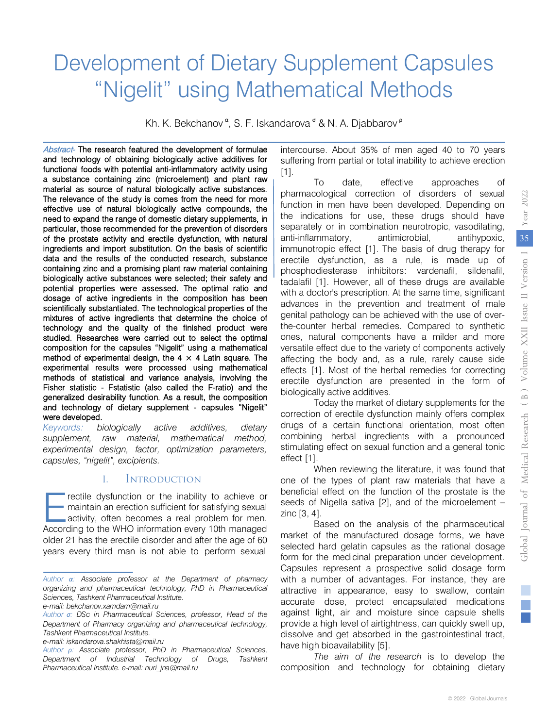# Development of Dietary Supplement Capsules "Nigelit" using Mathematical Methods

Kh. K. Bekchanov<sup>α</sup>, S. F. Iskandarova<sup>σ</sup> & N. A. Djabbarov<sup>ρ</sup>

Abstract- The research featured the development of formulae and technology of obtaining biologically active additives for functional foods with potential anti-inflammatory activity using a substance containing zinc (microelement) and plant raw material as source of natural biologically active substances. The relevance of the study is comes from the need for more effective use of natural biologically active compounds, the need to expand the range of domestic dietary supplements, in particular, those recommended for the prevention of disorders of the prostate activity and erectile dysfunction, with natural ingredients and import substitution. On the basis of scientific data and the results of the conducted research, substance containing zinc and a promising plant raw material containing biologically active substances were selected; their safety and potential properties were assessed. The optimal ratio and dosage of active ingredients in the composition has been scientifically substantiated. The technological properties of the mixtures of active ingredients that determine the choice of technology and the quality of the finished product were studied. Researches were carried out to select the optimal composition for the capsules "Nigelit" using a mathematical method of experimental design, the  $4 \times 4$  Latin square. The experimental results were processed using mathematical methods of statistical and variance analysis, involving the Fisher statistic - Fstatistic (also called the F-ratio) and the generalized desirability function. As a result, the composition and technology of dietary supplement - capsules "Nigelit" were developed.

*Keywords: biologically active additives, dietary supplement, raw material, mathematical method, experimental design, factor, optimization parameters, capsules, "nigelit", excipients.* 

#### I. Introduction

rectile dysfunction or the inability to achieve or maintain an erection sufficient for satisfying sexual activity, often becomes a real problem for men. The rectile dysfunction or the inability to achieve or maintain an erection sufficient for satisfying sexual activity, often becomes a real problem for men.<br>According to the WHO information every 10th managed older 21 has the erectile disorder and after the age of 60 years every third man is not able to perform sexual

intercourse. About 35% of men aged 40 to 70 years suffering from partial or total inability to achieve erection [1].

To date, effective approaches of pharmacological correction of disorders of sexual function in men have been developed. Depending on the indications for use, these drugs should have separately or in combination neurotropic, vasodilating, anti-inflammatory, antimicrobial, antihypoxic, immunotropic effect [1]. The basis of drug therapy for erectile dysfunction, as a rule, is made up of phosphodiesterase inhibitors: vardenafil, sildenafil, tadalafil [1]. However, all of these drugs are available with a doctor's prescription. At the same time, significant advances in the prevention and treatment of male genital pathology can be achieved with the use of overthe-counter herbal remedies. Compared to synthetic ones, natural components have a milder and more versatile effect due to the variety of components actively affecting the body and, as a rule, rarely cause side effects [1]. Most of the herbal remedies for correcting erectile dysfunction are presented in the form of biologically active additives.

Today the market of dietary supplements for the correction of erectile dysfunction mainly offers complex drugs of a certain functional orientation, most often combining herbal ingredients with a pronounced stimulating effect on sexual function and a general tonic effect [1].

When reviewing the literature, it was found that one of the types of plant raw materials that have a beneficial effect on the function of the prostate is the seeds of Nigella sativa [2], and of the microelement – zinc [3, 4].

Based on the analysis of the pharmaceutical market of the manufactured dosage forms, we have selected hard gelatin capsules as the rational dosage form for the medicinal preparation under development. Capsules represent a prospective solid dosage form with a number of advantages. For instance, they are attractive in appearance, easy to swallow, contain accurate dose, protect encapsulated medications against light, air and moisture since capsule shells provide a high level of airtightness, can quickly swell up, dissolve and get absorbed in the gastrointestinal tract, have high bioavailability [5].

*The aim of the research* is to develop the composition and technology for obtaining dietary

*Author α: Associate professor at the Department of pharmacy organizing and pharmaceutical technology, PhD in Pharmaceutical Sciences, Tashkent Pharmaceutical Institute.* 

*e-mail[: bekchanov.xamdam@mail.ru](mailto:bekchanov.xamdam@mail.ru)*

*Author σ: DSc in Pharmaceutical Sciences, professor, Head of the Department of Pharmacy organizing and pharmaceutical technology, Tashkent Pharmaceutical Institute.* 

*e-mail: iskandarova.shakhista@mail.ru*

*Author ρ: Associate professor, PhD in Pharmaceutical Sciences, Department of Industrial Technology of Drugs, Tashkent Pharmaceutical Institute. e-mail[: nuri\\_jna@mail.ru](mailto:nuri_jna@mail.ru)*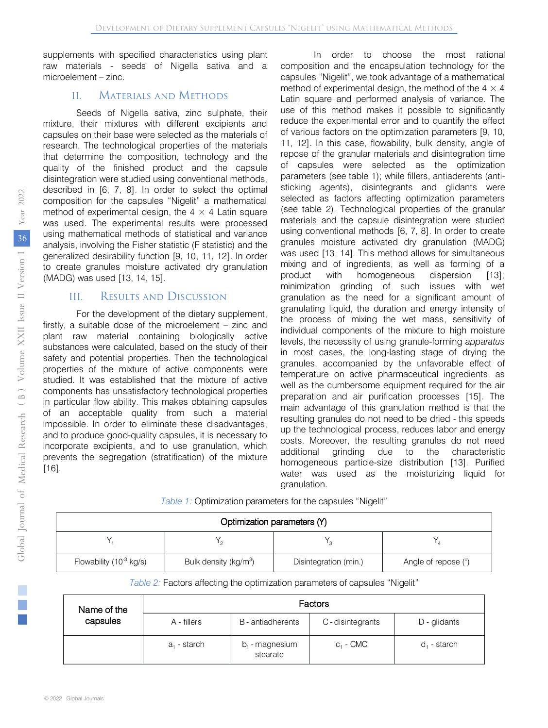supplements with specified characteristics using plant raw materials - seeds of Nigella sativa and a microelement – zinc.

#### II. Materials and Methods

Seeds of Nigella sativa, zinc sulphate, their mixture, their mixtures with different excipients and capsules on their base were selected as the materials of research. The technological properties of the materials that determine the composition, technology and the quality of the finished product and the capsule disintegration were studied using conventional methods, described in [6, 7, 8]. In order to select the optimal composition for the capsules "Nigelit" a mathematical method of experimental design, the  $4 \times 4$  Latin square was used. The experimental results were processed using mathematical methods of statistical and variance analysis, involving the Fisher statistic (F statistic) and the generalized desirability function [9, 10, 11, 12]. In order to create granules moisture activated dry granulation (MADG) was used [13, 14, 15].

#### III. Results and Discussion

For the development of the dietary supplement, firstly, a suitable dose of the microelement – zinc and plant raw material containing biologically active substances were calculated, based on the study of their safety and potential properties. Then the technological properties of the mixture of active components were studied. It was established that the mixture of active components has unsatisfactory technological properties in particular flow ability. This makes obtaining capsules of an acceptable quality from such a material impossible. In order to eliminate these disadvantages, and to produce good-quality capsules, it is necessary to incorporate excipients, and to use granulation, which prevents the segregation (stratification) of the mixture [16].

In order to choose the most rational composition and the encapsulation technology for the capsules "Nigelit", we took advantage of a mathematical method of experimental design, the method of the  $4 \times 4$ Latin square and performed analysis of variance. The use of this method makes it possible to significantly reduce the experimental error and to quantify the effect of various factors on the optimization parameters [9, 10, 11, 12]. In this case, flowability, bulk density, angle of repose of the granular materials and disintegration time of capsules were selected as the optimization parameters (see table 1); while fillers, antiaderents (antisticking agents), disintegrants and glidants were selected as factors affecting optimization parameters (see table 2). Technological properties of the granular materials and the capsule disintegration were studied using conventional methods [6, 7, 8]. In order to create granules moisture activated dry granulation (MADG) was used [13, 14]. This method allows for simultaneous mixing and of ingredients, as well as forming of a product with homogeneous dispersion [13]; minimization grinding of such issues with wet granulation as the need for a significant amount of granulating liquid, the duration and energy intensity of the process of mixing the wet mass, sensitivity of individual components of the mixture to high moisture levels, the necessity of using granule-forming *apparatus* in most cases, the long-lasting stage of drying the granules, accompanied by the unfavorable effect of temperature on active pharmaceutical ingredients, as well as the cumbersome equipment required for the air preparation and air purification processes [15]. The main advantage of this granulation method is that the resulting granules do not need to be dried - this speeds up the technological process, reduces labor and energy costs. Moreover, the resulting granules do not need additional grinding due to the characteristic homogeneous particle-size distribution [13]. Purified water was used as the moisturizing liquid for granulation.

*Table 1:* Optimization parameters for the capsules "Nigelit"

| Optimization parameters (Y)         |                                   |                       |                       |  |  |  |  |
|-------------------------------------|-----------------------------------|-----------------------|-----------------------|--|--|--|--|
|                                     |                                   |                       |                       |  |  |  |  |
| Flowability (10 <sup>-3</sup> kg/s) | Bulk density (kg/m <sup>3</sup> ) | Disintegration (min.) | Angle of repose $(°)$ |  |  |  |  |

*Table 2:* Factors affecting the optimization parameters of capsules "Nigelit"

| Name of the<br>capsules | Factors     |                               |                   |                |  |  |  |  |
|-------------------------|-------------|-------------------------------|-------------------|----------------|--|--|--|--|
|                         | A - fillers | B - antiadherents             | C - disintegrants | D - glidants   |  |  |  |  |
|                         | a, - starch | $b_1$ - magnesium<br>stearate | $C_1$ - CMC       | $d_1$ - starch |  |  |  |  |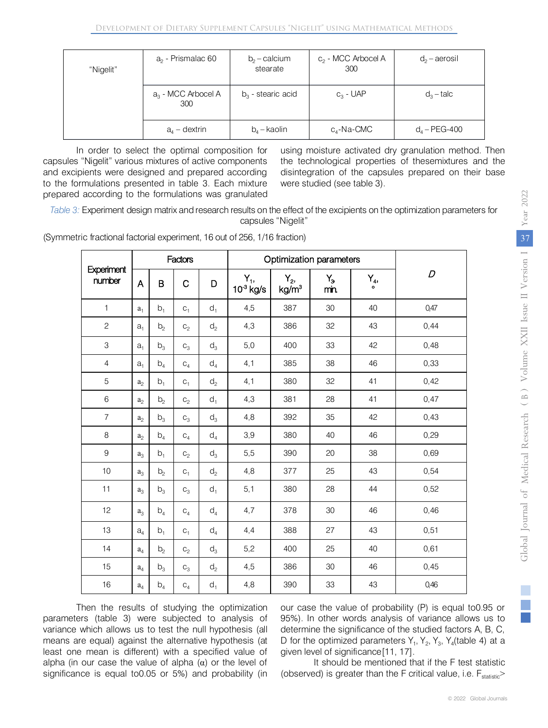| "Nigelit" | $a2$ - Prismalac 60          | $b_2$ – calcium<br>stearate | $c_2$ - MCC Arbocel A<br>300 | $d_2$ – aerosil |
|-----------|------------------------------|-----------------------------|------------------------------|-----------------|
|           | $a_3$ - MCC Arbocel A<br>300 | $b_3$ - stearic acid        | $C_3$ - UAP                  | $d_3$ – talc    |
|           | $a_{4}$ – dextrin            | $b_4$ – kaolin              | c <sub>4</sub> -Na-CMC       | $d_4 - PEG-400$ |

In order to select the optimal composition for capsules "Nigelit" various mixtures of active components and excipients were designed and prepared according to the formulations presented in table 3. Each mixture prepared according to the formulations was granulated

using moisture activated dry granulation method. Then the technological properties of thesemixtures and the disintegration of the capsules prepared on their base were studied (see table 3).

*Table 3:* Experiment design matrix and research results on the effect of the excipients on the optimization parameters for capsules "Nigelit"

|                      |                |                | Factors        |                | Optimization parameters |                                       |                        |                       |      |
|----------------------|----------------|----------------|----------------|----------------|-------------------------|---------------------------------------|------------------------|-----------------------|------|
| Experiment<br>number | A              | B              | $\mathsf C$    | D              | Υ,,<br>$10^3$ kg/s      | Y <sub>2</sub> ,<br>kg/m <sup>3</sup> | Y <sub>3</sub><br>min. | Υ <sub>4</sub> ,<br>ó | D    |
| $\mathbf{1}$         | a <sub>1</sub> | $b_1$          | $C_1$          | $d_1$          | 4,5                     | 387                                   | 30                     | 40                    | 0,47 |
| $\overline{c}$       | a <sub>1</sub> | b <sub>2</sub> | $C_2$          | $\mathsf{d}_2$ | 4,3                     | 386                                   | 32                     | 43                    | 0,44 |
| 3                    | a <sub>1</sub> | $b_3$          | $C_3$          | $d_3$          | 5,0                     | 400                                   | 33                     | 42                    | 0,48 |
| $\overline{4}$       | $a_1$          | b <sub>4</sub> | $C_4$          | $d_4$          | 4,1                     | 385                                   | 38                     | 46                    | 0,33 |
| 5                    | $\mathbf{a}_2$ | $b_1$          | $C_1$          | $\mathsf{d}_2$ | 4,1                     | 380                                   | 32                     | 41                    | 0,42 |
| 6                    | $\mathbf{a}_2$ | b <sub>2</sub> | $\mathtt{C}_2$ | $d_1$          | 4,3                     | 381                                   | 28                     | 41                    | 0,47 |
| $\overline{7}$       | a <sub>2</sub> | $b_3$          | $C_3$          | $d_3$          | 4,8                     | 392                                   | 35                     | 42                    | 0,43 |
| 8                    | a <sub>2</sub> | b <sub>4</sub> | $C_4$          | $d_4$          | 3,9                     | 380                                   | 40                     | 46                    | 0,29 |
| 9                    | $a_3$          | b <sub>1</sub> | $C_2$          | $d_3$          | 5,5                     | 390                                   | 20                     | 38                    | 0,69 |
| 10                   | $a_3$          | b <sub>2</sub> | $C_1$          | d <sub>2</sub> | 4,8                     | 377                                   | 25                     | 43                    | 0,54 |
| 11                   | $a_3$          | $b_3$          | $C_3$          | $d_1$          | 5,1                     | 380                                   | 28                     | 44                    | 0,52 |
| 12                   | $a_3$          | b <sub>4</sub> | $C_4$          | $d_4$          | 4,7                     | 378                                   | 30                     | 46                    | 0,46 |
| 13                   | a <sub>4</sub> | $b_1$          | $C_1$          | $d_4$          | 4,4                     | 388                                   | 27                     | 43                    | 0,51 |
| 14                   | $\mathbf{a}_4$ | b <sub>2</sub> | $C_2$          | $\mathsf{d}_3$ | 5,2                     | 400                                   | 25                     | 40                    | 0,61 |
| 15                   | $\mathbf{a}_4$ | $b_3$          | $C_3$          | $d_2$          | 4,5                     | 386                                   | 30                     | 46                    | 0,45 |
| 16                   | $a_4$          | $b_4$          | $C_4$          | $d_1$          | 4,8                     | 390                                   | 33                     | 43                    | 0,46 |

(Symmetric fractional factorial experiment, 16 out of 256, 1/16 fraction)

Then the results of studying the optimization parameters (table 3) were subjected to analysis of variance which allows us to test the null hypothesis (all means are equal) against the alternative hypothesis (at least one mean is different) with a specified value of alpha (in our case the value of alpha  $(\alpha)$  or the level of significance is equal to0.05 or 5%) and probability (in our case the value of probability (P) is equal to0.95 or 95%). In other words analysis of variance allows us to determine the significance of the studied factors A, B, C, D for the optimized parameters  $Y_1$ ,  $Y_2$ ,  $Y_3$ ,  $Y_4$ (table 4) at a given level of significance[11, 17].

It should be mentioned that if the F test statistic (observed) is greater than the F critical value, i.e.  $F_{\text{statistic}}$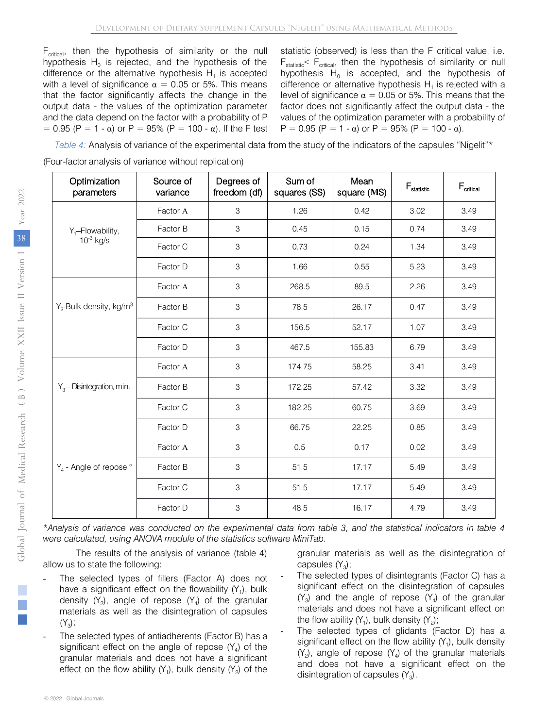$F_{critical}$ , then the hypothesis of similarity or the null hypothesis  $H_0$  is rejected, and the hypothesis of the difference or the alternative hypothesis  $H_1$  is accepted with a level of significance  $\alpha = 0.05$  or 5%. This means that the factor significantly affects the change in the output data - the values of the optimization parameter and the data depend on the factor with a probability of P  $= 0.95$  (P = 1 - α) or P = 95% (P = 100 - α). If the F test

statistic (observed) is less than the F critical value, i.e.  $F_{statistic}$ <  $F_{critical}$ , then the hypothesis of similarity or null hypothesis  $H_0$  is accepted, and the hypothesis of difference or alternative hypothesis  $H_1$  is rejected with a level of significance  $\alpha = 0.05$  or 5%. This means that the factor does not significantly affect the output data - the values of the optimization parameter with a probability of P = 0.95 (P = 1 -  $\alpha$ ) or P = 95% (P = 100 -  $\alpha$ ).

*Table 4:* Analysis of variance of the experimental data from the study of the indicators of the capsules "Nigelit"\* (Four-factor analysis of variance without replication)

| Optimization<br>parameters             | Source of<br>variance | Degrees of<br>freedom (df) | Sum of<br>squares (SS) | Mean<br>square (MS) | $\mathsf{F}_{\text{statistic}}$ | $F_{\text{critical}}$ |
|----------------------------------------|-----------------------|----------------------------|------------------------|---------------------|---------------------------------|-----------------------|
|                                        | Factor A              | 3                          | 1.26                   | 0.42                | 3.02                            | 3.49                  |
| $Y_1$ -Flowability,                    | Factor B              | 3                          | 0.45                   | 0.15                | 0.74                            | 3.49                  |
| $10^{-3}$ kg/s                         | Factor C              | 3                          | 0.73                   | 0.24                | 1.34                            | 3.49                  |
|                                        | Factor D              | 3                          | 1.66                   | 0.55                | 5.23                            | 3.49                  |
|                                        | Factor A              | 3                          | 268.5                  | 89,5                | 2.26                            | 3.49                  |
| $Y_2$ -Bulk density, kg/m <sup>3</sup> | Factor B              | 3                          | 78.5                   | 26.17               | 0.47                            | 3.49                  |
|                                        | Factor C              | 3                          | 156.5                  | 52.17               | 1.07                            | 3.49                  |
|                                        | Factor D              | 3                          | 467.5                  | 155.83              | 6.79                            | 3.49                  |
|                                        | Factor A              | 3                          | 174.75                 | 58.25               | 3.41                            | 3.49                  |
| $Y_3$ – Disintegration, min.           | Factor B              | 3                          | 172.25                 | 57.42               | 3.32                            | 3.49                  |
|                                        | Factor C              | 3                          | 182.25                 | 60.75               | 3.69                            | 3.49                  |
|                                        | Factor D              | 3                          | 66.75                  | 22.25               | 0.85                            | 3.49                  |
|                                        | Factor A              | $\mathsf 3$                | 0.5                    | 0.17                | 0.02                            | 3.49                  |
| $Y_4$ - Angle of repose, $\degree$     | Factor B              | 3                          | 51.5                   | 17.17               | 5.49                            | 3.49                  |
|                                        | Factor C              | 3                          | 51.5                   | 17.17               | 5.49                            | 3.49                  |
|                                        | Factor D              | 3                          | 48.5                   | 16.17               | 4.79                            | 3.49                  |

\*Analysis of variance was conducted on the experimental data from table 3, and the statistical indicators in table 4 *were calculated, using ANOVA module of the statistics software MiniTab.*

The results of the analysis of variance (table 4) allow us to state the following:

- The selected types of fillers (Factor A) does not have a significant effect on the flowability  $(Y_1)$ , bulk density  $(Y_2)$ , angle of repose  $(Y_4)$  of the granular materials as well as the disintegration of capsules  $(Y_3)$ ;
- The selected types of antiadherents (Factor B) has a significant effect on the angle of repose  $(Y_4)$  of the granular materials and does not have a significant effect on the flow ability  $(Y_1)$ , bulk density  $(Y_2)$  of the

granular materials as well as the disintegration of capsules  $(Y_3)$ ;

- The selected types of disintegrants (Factor C) has a significant effect on the disintegration of capsules  $(Y_3)$  and the angle of repose  $(Y_4)$  of the granular materials and does not have a significant effect on the flow ability  $(Y_1)$ , bulk density  $(Y_2)$ ;
- The selected types of glidants (Factor D) has a significant effect on the flow ability  $(Y_1)$ , bulk density  $(Y_2)$ , angle of repose  $(Y_4)$  of the granular materials and does not have a significant effect on the disintegration of capsules  $(Y_3)$ .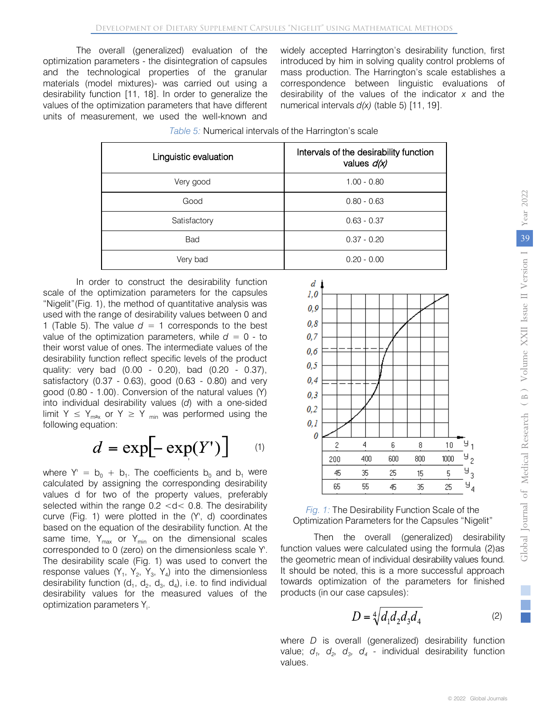The overall (generalized) evaluation of the optimization parameters - the disintegration of capsules and the technological properties of the granular materials (model mixtures)- was carried out using a desirability function [11, 18]. In order to generalize the values of the optimization parameters that have different units of measurement, we used the well-known and

widely accepted Harrington's desirability function, first introduced by him in solving quality control problems of mass production. The Harrington's scale establishes a correspondence between linguistic evaluations of desirability of the values of the indicator *x* and the numerical intervals *d(x)* (table 5) [11, 19].

| Linguistic evaluation | Intervals of the desirability function<br>values d(x) |
|-----------------------|-------------------------------------------------------|
| Very good             | $1.00 - 0.80$                                         |
| Good                  | $0.80 - 0.63$                                         |
| Satisfactory          | $0.63 - 0.37$                                         |
| Bad                   | $0.37 - 0.20$                                         |
| Very bad              | $0.20 - 0.00$                                         |

| Table 5: Numerical intervals of the Harrington's scale |  |
|--------------------------------------------------------|--|
|--------------------------------------------------------|--|

In order to construct the desirability function scale of the optimization parameters for the capsules "Nigelit"(Fig. 1), the method of quantitative analysis was used with the range of desirability values between 0 and 1 (Table 5). The value  $d = 1$  corresponds to the best value of the optimization parameters, while  $d = 0$  - to their worst value of ones. The intermediate values of the desirability function reflect specific levels of the product quality: very bad (0.00 - 0.20), bad (0.20 - 0.37), satisfactory (0.37 - 0.63), good (0.63 - 0.80) and very good (0.80 - 1.00). Conversion of the natural values (Y) into individual desirability values (*d*) with a one-sided limit Y  $\leq$  Y<sub>max</sub> or Y  $\geq$  Y <sub>min</sub> was performed using the following equation:

$$
d = \exp[-\exp(Y')]
$$
 (1)

where  $Y' = b_0 + b_1$ . The coefficients  $b_0$  and  $b_1$  were calculated by assigning the corresponding desirability values d for two of the property values, preferably selected within the range 0.2 <d< 0.8. The desirability curve (Fig. 1) were plotted in the (Y', d) coordinates based on the equation of the desirability function. At the same time,  $Y_{max}$  or  $Y_{min}$  on the dimensional scales corresponded to 0 (zero) on the dimensionless scale Y'. The desirability scale (Fig. 1) was used to convert the response values  $(Y_1, Y_2, Y_3, Y_4)$  into the dimensionless desirability function  $(d_1, d_2, d_3, d_4)$ , i.e. to find individual desirability values for the measured values of the optimization parameters  $Y_i$ .





Then the overall (generalized) desirability function values were calculated using the formula (2)as the geometric mean of individual desirability values found. It should be noted, this is a more successful approach towards optimization of the parameters for finished products (in our case capsules):

$$
D = \sqrt[4]{d_1 d_2 d_3 d_4} \tag{2}
$$

where *D* is overall (generalized) desirability function value;  $d_1$ ,  $d_2$ ,  $d_3$ ,  $d_4$  - individual desirability function values.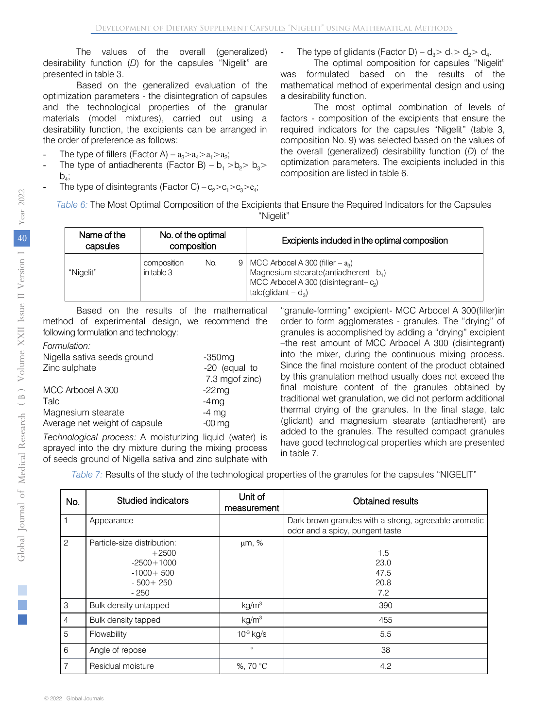The values of the overall (generalized) desirability function (*D*) for the capsules "Nigelit" are presented in table 3.

Based on the generalized evaluation of the optimization parameters - the disintegration of capsules and the technological properties of the granular materials (model mixtures), carried out using a desirability function, the excipients can be arranged in the order of preference as follows:

- The type of fillers (Factor A)  $a_3 > a_4 > a_1 > a_2$ ;
- The type of antiadherents (Factor B)  $b_1 > b_2 > b_3$  $b_4$ ;
- The type of disintegrants (Factor C)  $c_2>c_1>c_3>c_4$ ;

The type of glidants (Factor D) –  $d_2 > d_1 > d_2 > d_4$ .

The optimal composition for capsules "Nigelit" was formulated based on the results of the mathematical method of experimental design and using a desirability function.

The most optimal combination of levels of factors - composition of the excipients that ensure the required indicators for the capsules "Nigelit" (table 3, composition No. 9) was selected based on the values of the overall (generalized) desirability function (*D*) of the optimization parameters. The excipients included in this composition are listed in table 6.

*Table 6:* The Most Optimal Composition of the Excipients that Ensure the Required Indicators for the Capsules "Nigelit"

| Name of the<br>capsules | No. of the optimal<br>composition |     | Excipients included in the optimal composition                                                                                                      |
|-------------------------|-----------------------------------|-----|-----------------------------------------------------------------------------------------------------------------------------------------------------|
| "Nigelit"               | composition<br>in table 3         | No. | 9   MCC Arbocel A 300 (filler $-a_3$ )<br>Magnesium stearate(antiadherent-b1)<br>MCC Arbocel A 300 (disintegrant- $c_2$ )<br>talc(glidant $- d_3$ ) |

Based on the results of the mathematical method of experimental design, we recommend the following formulation and technology:

#### *Formulation:*

| Nigella sativa seeds ground   | $-350$ mg      |
|-------------------------------|----------------|
| Zinc sulphate                 | -20 (equal to  |
|                               | 7.3 mgof zinc) |
| MCC Arbocel A 300             | $-22$ mg       |
| Talc                          | $-4$ mg        |
| Magnesium stearate            | $-4$ mg        |
| Average net weight of capsule | $-00$ mg       |
|                               |                |

*Technological process:* A moisturizing liquid (water) is sprayed into the dry mixture during the mixing process of seeds ground of Nigella sativa and zinc sulphate with

"granule-forming" excipient- MCC Arbocel A 300(filler)in order to form agglomerates - granules. The "drying" of granules is accomplished by adding a "drying" excipient –the rest amount of MCC Arbocel A 300 (disintegrant) into the mixer, during the continuous mixing process. Since the final moisture content of the product obtained by this granulation method usually does not exceed the final moisture content of the granules obtained by traditional wet granulation, we did not perform additional thermal drying of the granules. In the final stage, talc (glidant) and magnesium stearate (antiadherent) are added to the granules. The resulted compact granules have good technological properties which are presented in table 7.

*Table 7:* Results of the study of the technological properties of the granules for the capsules "NIGELIT"

| No.            | <b>Studied indicators</b>                                                                       | Unit of<br>measurement | Obtained results                                                                         |
|----------------|-------------------------------------------------------------------------------------------------|------------------------|------------------------------------------------------------------------------------------|
| 1              | Appearance                                                                                      |                        | Dark brown granules with a strong, agreeable aromatic<br>odor and a spicy, pungent taste |
| 2              | Particle-size distribution:<br>$+2500$<br>$-2500 + 1000$<br>$-1000+500$<br>$-500+250$<br>$-250$ | μm, %                  | 1.5<br>23.0<br>47.5<br>20.8<br>7.2                                                       |
| 3              | Bulk density untapped                                                                           | kg/m <sup>3</sup>      | 390                                                                                      |
| $\overline{4}$ | Bulk density tapped                                                                             | kg/m <sup>3</sup>      | 455                                                                                      |
| 5              | Flowability                                                                                     | $10^{-3}$ kg/s         | 5.5                                                                                      |
| 6              | Angle of repose                                                                                 | $\circ$                | 38                                                                                       |
| 7              | Residual moisture                                                                               | %, 70 °C               | 4.2                                                                                      |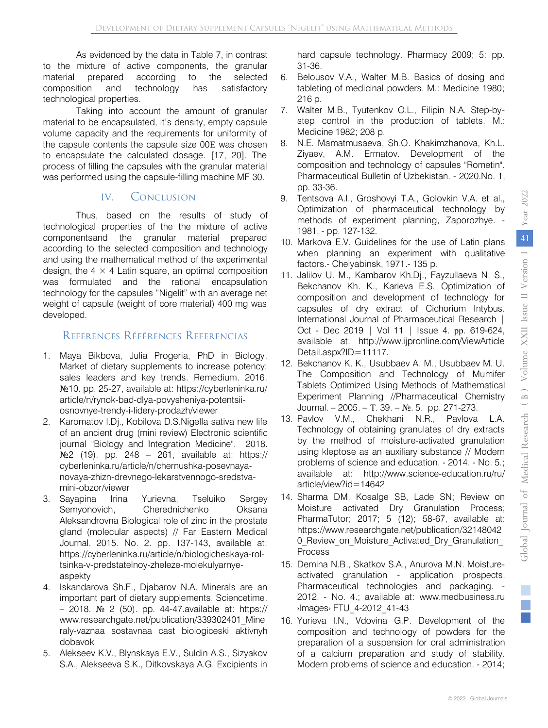As evidenced by the data in Table 7, in contrast prepared composition and technology has satisfactory<br>technological.proporties technological properties. to the mixture of active components, the granular material prepared according to the selected

 material to be encapsulated, it's density, empty capsule material to be encapsulated, it is density, empty capsule<br>volume capacity and the requirements for uniformity of the capsule contents the capsule size 00Е was chosen the capsule contents the capsule size oor was chosen<br>to encapsulate the calculated dosage. [17, 20]. The process of filling the capsules with the granular material ì was performed using the capsule-filling machine MF 30. Taking into account the amount of granular

#### IV. Conclusion

 according to the selected composition and technology and using the mathematical method of the experimental was formulated and the rational encapsulation technology for the capsules "Nigelit" with an average net Thus, based on the results of study of technological properties of the the mixture of active componentsand the granular material prepared design, the  $4 \times 4$  Latin square, an optimal composition weight of capsule (weight of core material) 400 mg was developed.

### References Références Referencias

- Market of dietary supplements to increase potency: 1. Maya Bikbova, Julia Progeria, PhD in Biology. sales leaders and key trends. Remedium. 2016. №10. pp. 25-27, available at: https://cyberleninka.ru/ article/n/rynok-bad-dlya-povysheniya-potentsiiosnovnye-trendy-i-lidery-prodazh/viewer
- 2. Karomatov I.Dj., Kobilova D.S.Nigella sativa new life of an ancient drug (mini review) Electronic scientific journal "Biology and Integration Medicine". 2018. №2 (19). pp. 248 – 261, available at: https:// cyberleninka.ru/article/n/chernushka-posevnayanovaya-zhizn-drevnego-lekarstvennogo-sredstvamini-obzor/viewer
- 3. Sayapina Irina Yurievna, Tseluiko Sergey Semyonovich, Cherednichenko Oksana Aleksandrovna Biological role of zinc in the prostate gland (molecular aspects) // Far Eastern Medical Journal. 2015. No. 2. pp. 137-143, available at: https://cyberleninka.ru/article/n/biologicheskaya-roltsinka-v-predstatelnoy-zheleze-molekulyarnyeaspekty
- 4. Iskandarova Sh.F., Djabarov N.A. Minerals are an important part of dietary supplements. Sciencetime. – 2018. № 2 (50). pp. 44-47.available at: https:// www.researchgate.net/publication/339302401\_Mine raly-vaznaa sostavnaa cast biologiceski [aktivnyh](https://www.researchgate.net/publication/339302401_Mineraly-vaznaa%20sostavnaa%20cast%20biologiceski%20aktivnyh%20dobavok)  dobavok
- 5. [Alekseev K.V., Blynskaya E.V., Suldin A.S., Sizyakov](https://www.researchgate.net/publication/339302401_Mineraly-vaznaa%20sostavnaa%20cast%20biologiceski%20aktivnyh%20dobavok)  S.A., Alekseeva S.K., Ditkovskaya A.G. Excipients in

hard capsule technology. Pharmacy 2009; 5: pp. 31-36.

- 6. Belousov V.A., Walter M.B. Basics of dosing and [tableting of medicinal powders. M.: Medicine 1980;](https://www.researchgate.net/publication/339302401_Mineraly-vaznaa%20sostavnaa%20cast%20biologiceski%20aktivnyh%20dobavok)  216 p.
- 7. [Walter M](https://www.researchgate.net/publication/339302401_Mineraly-vaznaa%20sostavnaa%20cast%20biologiceski%20aktivnyh%20dobavok).B., Tyutenkov O.L., Filipin N.A. Step-bystep control in the production of tablets. M.: Medicine 1982; 208 p.
- 8. N.E. Mamatmusaeva, Sh.O. Khakimzhanova, Kh.L. Ziyaev, A.M. Ermatov. Development of the composition and technology of capsules "Rometin". Pharmaceutical Bulletin of Uzbekistan. - 2020.No. 1, pp. 33-36.
- 9. Tentsova A.I., Groshovyi T.A., Golovkin V.A. et al., Optimization of pharmaceutical technology by methods of experiment planning, Zaporozhye. - 1981. - pp. 127-132.
- 10. Markova E.V. Guidelines for the use of Latin plans when planning an experiment with qualitative factors.- Chelyabinsk, 1971.- 135 p.
- 11. Jalilov U. M., Kambarov Kh.Dj., Fayzullaeva N. S., Bekchanov Kh. K., Karieva E.S. Optimization of composition and development of technology for capsules of dry extract of Cichorium Intybus. International Journal of Pharmaceutical Research | Oct - Dec 2019 | Vol 11 | Issue 4. рр. 619-624, available at: http://www.ijpronline.com/ViewArticle Detail.aspx?ID=11117.
- 12. Bekchanov K. K., Usubbaev A. M., Usubbaev M. U. The Composition and Technology of Mumifer Tablets Optimized Using Methods of Mathematical Experiment Planning //Pharmaceutical Chemistry Journal. – 2005. – T. 39. –  $N_2$ . 5. pp. 271-273.
- 13. Pavlov V.M., Chekhani N.R., Pavlova L.A. Technology of obtaining granulates of dry extracts by the method of moisture-activated granulation using kleptose as an auxiliary substance // Modern problems of science and education. - 2014. - No. 5.; available at: http://www.science-education.ru/ru/ article/view?id=14642
- 14. Sharma DM, Kosalge SB, Lade SN; Review on Moisture activated Dry Granulation Process; PharmaTutor; 2017; 5 (12); 58-67, available at: https://www.researchgate.net/publication/32148042 0 Review on Moisture Activated Dry Granulation Process
- 15. Demina N.B., Skatkov S.A., Anurova M.N. Moistureactivated granulation - application prospects. Pharmaceutical technologies and packaging. - 2012. - No. 4.; available at: www.medbusiness.ru ›Images› FTU\_4-2012\_41-43
- 16. Yurieva I.N., Vdovina G.P. Development of the composition and technology of powders for the preparation of a suspension for oral administration of a calcium preparation and study of stability. Modern problems of science and education. - 2014;